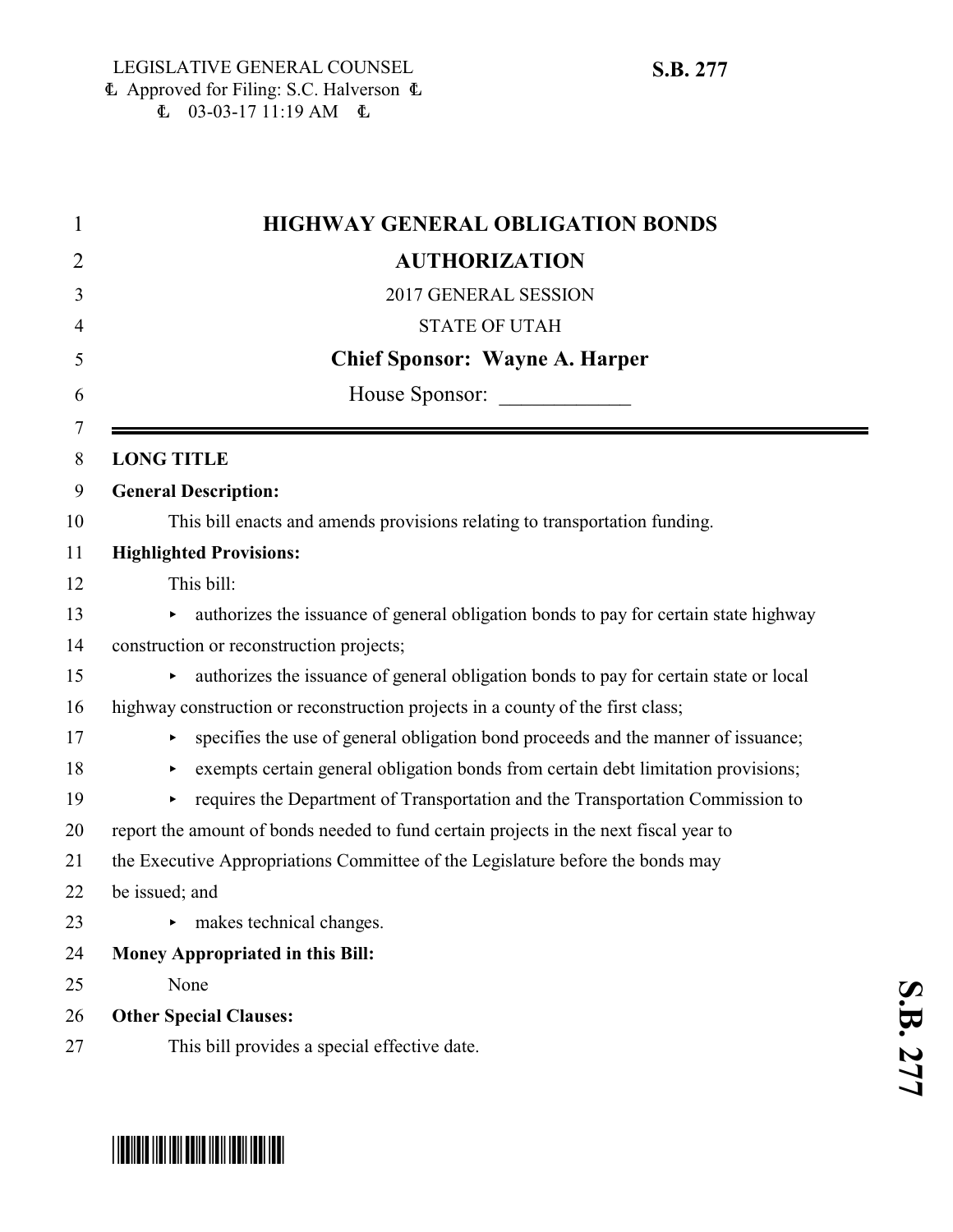| <b>HIGHWAY GENERAL OBLIGATION BONDS</b>                                                    |
|--------------------------------------------------------------------------------------------|
| <b>AUTHORIZATION</b>                                                                       |
| 2017 GENERAL SESSION                                                                       |
| <b>STATE OF UTAH</b>                                                                       |
| <b>Chief Sponsor: Wayne A. Harper</b>                                                      |
| House Sponsor:                                                                             |
| <b>LONG TITLE</b>                                                                          |
| <b>General Description:</b>                                                                |
| This bill enacts and amends provisions relating to transportation funding.                 |
| <b>Highlighted Provisions:</b>                                                             |
| This bill:                                                                                 |
| authorizes the issuance of general obligation bonds to pay for certain state highway<br>Þ. |
| construction or reconstruction projects;                                                   |
| authorizes the issuance of general obligation bonds to pay for certain state or local<br>▶ |
| highway construction or reconstruction projects in a county of the first class;            |
| specifies the use of general obligation bond proceeds and the manner of issuance;<br>▶     |
| exempts certain general obligation bonds from certain debt limitation provisions;<br>▶     |
| requires the Department of Transportation and the Transportation Commission to<br>▶        |
| report the amount of bonds needed to fund certain projects in the next fiscal year to      |
| the Executive Appropriations Committee of the Legislature before the bonds may             |
| be issued; and                                                                             |
| makes technical changes.<br>▶                                                              |
| Money Appropriated in this Bill:                                                           |
| None                                                                                       |
| <b>Other Special Clauses:</b>                                                              |
| This bill provides a special effective date.                                               |



# \*SB0277\*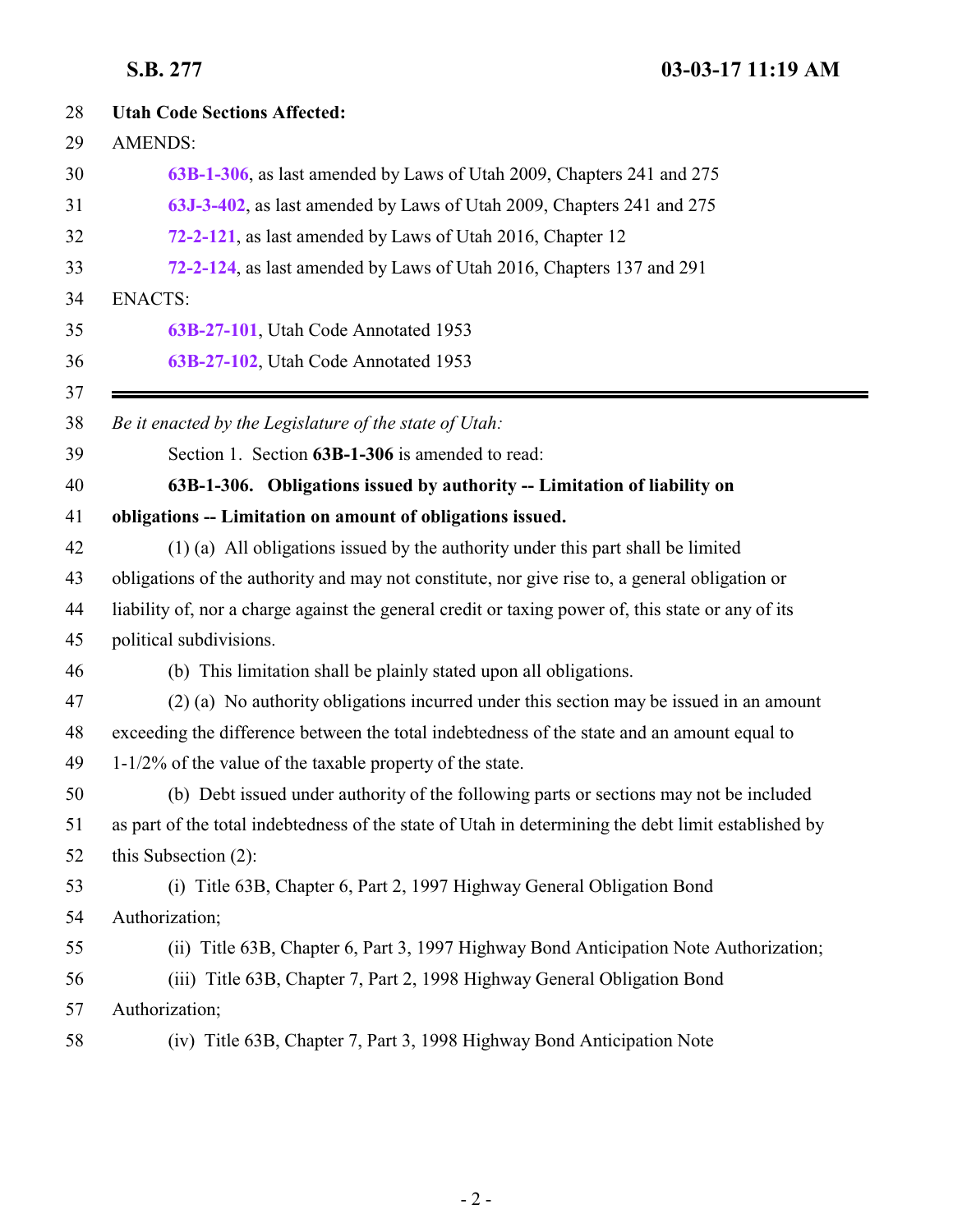<span id="page-1-0"></span>

| 28 | <b>Utah Code Sections Affected:</b>                                                                 |
|----|-----------------------------------------------------------------------------------------------------|
| 29 | <b>AMENDS:</b>                                                                                      |
| 30 | 63B-1-306, as last amended by Laws of Utah 2009, Chapters 241 and 275                               |
| 31 | 63J-3-402, as last amended by Laws of Utah 2009, Chapters 241 and 275                               |
| 32 | 72-2-121, as last amended by Laws of Utah 2016, Chapter 12                                          |
| 33 | 72-2-124, as last amended by Laws of Utah 2016, Chapters 137 and 291                                |
| 34 | <b>ENACTS:</b>                                                                                      |
|    | 63B-27-101, Utah Code Annotated 1953                                                                |
|    | 63B-27-102, Utah Code Annotated 1953                                                                |
|    | Be it enacted by the Legislature of the state of Utah:                                              |
|    | Section 1. Section 63B-1-306 is amended to read:                                                    |
|    | 63B-1-306. Obligations issued by authority -- Limitation of liability on                            |
|    | obligations -- Limitation on amount of obligations issued.                                          |
|    | (1) (a) All obligations issued by the authority under this part shall be limited                    |
|    | obligations of the authority and may not constitute, nor give rise to, a general obligation or      |
|    | liability of, nor a charge against the general credit or taxing power of, this state or any of its  |
|    | political subdivisions.                                                                             |
|    | (b) This limitation shall be plainly stated upon all obligations.                                   |
|    | (2) (a) No authority obligations incurred under this section may be issued in an amount             |
|    | exceeding the difference between the total indebtedness of the state and an amount equal to         |
|    | $1-1/2\%$ of the value of the taxable property of the state.                                        |
|    | (b) Debt issued under authority of the following parts or sections may not be included              |
|    | as part of the total indebtedness of the state of Utah in determining the debt limit established by |
|    | this Subsection $(2)$ :                                                                             |
|    | (i) Title 63B, Chapter 6, Part 2, 1997 Highway General Obligation Bond                              |
| 54 | Authorization;                                                                                      |
|    | (ii) Title 63B, Chapter 6, Part 3, 1997 Highway Bond Anticipation Note Authorization;               |
| 56 | (iii) Title 63B, Chapter 7, Part 2, 1998 Highway General Obligation Bond                            |
| 57 | Authorization;                                                                                      |
| 58 | (iv) Title 63B, Chapter 7, Part 3, 1998 Highway Bond Anticipation Note                              |
|    |                                                                                                     |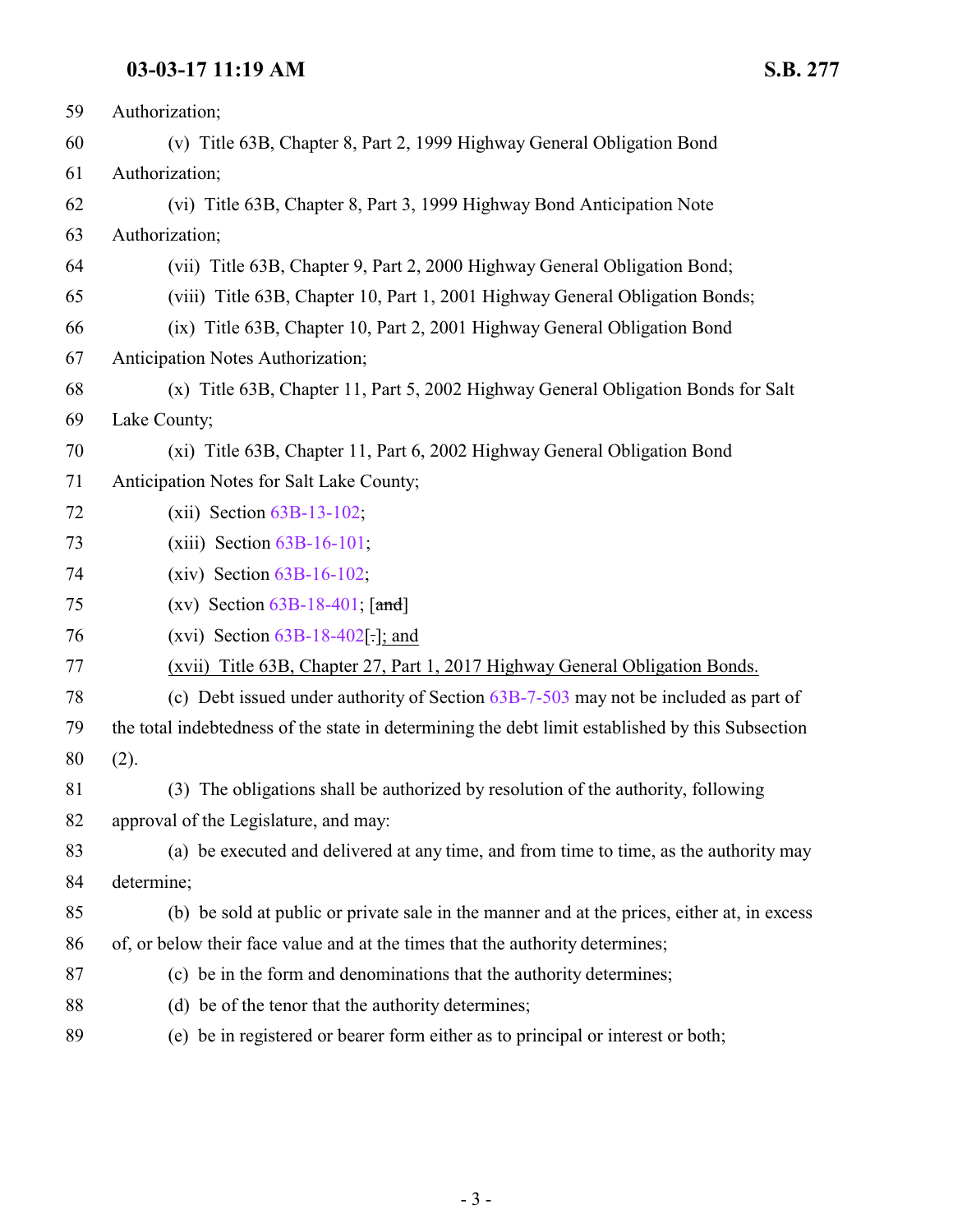| 59 | Authorization;                                                                                   |
|----|--------------------------------------------------------------------------------------------------|
| 60 | (v) Title 63B, Chapter 8, Part 2, 1999 Highway General Obligation Bond                           |
| 61 | Authorization;                                                                                   |
| 62 | (vi) Title 63B, Chapter 8, Part 3, 1999 Highway Bond Anticipation Note                           |
| 63 | Authorization;                                                                                   |
| 64 | (vii) Title 63B, Chapter 9, Part 2, 2000 Highway General Obligation Bond;                        |
| 65 | (viii) Title 63B, Chapter 10, Part 1, 2001 Highway General Obligation Bonds;                     |
| 66 | (ix) Title 63B, Chapter 10, Part 2, 2001 Highway General Obligation Bond                         |
| 67 | Anticipation Notes Authorization;                                                                |
| 68 | (x) Title 63B, Chapter 11, Part 5, 2002 Highway General Obligation Bonds for Salt                |
| 69 | Lake County;                                                                                     |
| 70 | (xi) Title 63B, Chapter 11, Part 6, 2002 Highway General Obligation Bond                         |
| 71 | Anticipation Notes for Salt Lake County;                                                         |
| 72 | $(xii)$ Section $63B-13-102$ ;                                                                   |
| 73 | $(xiii)$ Section $63B-16-101$ ;                                                                  |
| 74 | $(xiv)$ Section $63B-16-102$ ;                                                                   |
| 75 | (xv) Section $63B-18-401$ ; [and]                                                                |
| 76 | (xvi) Section $63B-18-402$ .]; and                                                               |
| 77 | (xvii) Title 63B, Chapter 27, Part 1, 2017 Highway General Obligation Bonds.                     |
| 78 | (c) Debt issued under authority of Section $63B-7-503$ may not be included as part of            |
| 79 | the total indebtedness of the state in determining the debt limit established by this Subsection |
| 80 | (2).                                                                                             |
| 81 | (3) The obligations shall be authorized by resolution of the authority, following                |
| 82 | approval of the Legislature, and may:                                                            |
| 83 | (a) be executed and delivered at any time, and from time to time, as the authority may           |
| 84 | determine;                                                                                       |
| 85 | (b) be sold at public or private sale in the manner and at the prices, either at, in excess      |
| 86 | of, or below their face value and at the times that the authority determines;                    |
| 87 | (c) be in the form and denominations that the authority determines;                              |
| 88 | (d) be of the tenor that the authority determines;                                               |
| 89 | (e) be in registered or bearer form either as to principal or interest or both;                  |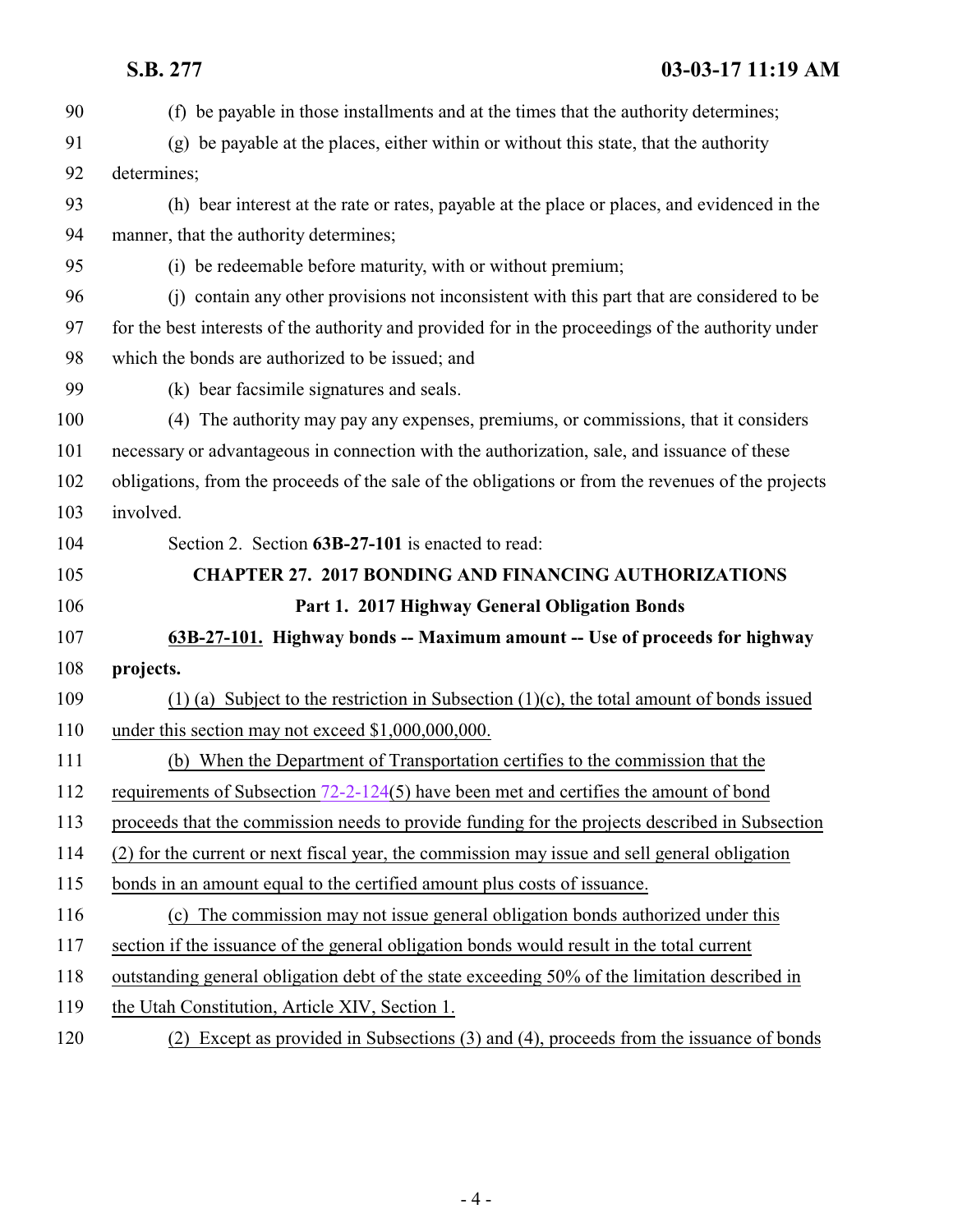<span id="page-3-0"></span>

| 90  | (f) be payable in those installments and at the times that the authority determines;               |
|-----|----------------------------------------------------------------------------------------------------|
| 91  | (g) be payable at the places, either within or without this state, that the authority              |
| 92  | determines;                                                                                        |
| 93  | (h) bear interest at the rate or rates, payable at the place or places, and evidenced in the       |
| 94  | manner, that the authority determines;                                                             |
| 95  | (i) be redeemable before maturity, with or without premium;                                        |
| 96  | (i) contain any other provisions not inconsistent with this part that are considered to be         |
| 97  | for the best interests of the authority and provided for in the proceedings of the authority under |
| 98  | which the bonds are authorized to be issued; and                                                   |
| 99  | (k) bear facsimile signatures and seals.                                                           |
| 100 | (4) The authority may pay any expenses, premiums, or commissions, that it considers                |
| 101 | necessary or advantageous in connection with the authorization, sale, and issuance of these        |
| 102 | obligations, from the proceeds of the sale of the obligations or from the revenues of the projects |
| 103 | involved.                                                                                          |
| 104 | Section 2. Section 63B-27-101 is enacted to read:                                                  |
| 105 | <b>CHAPTER 27. 2017 BONDING AND FINANCING AUTHORIZATIONS</b>                                       |
| 106 | Part 1. 2017 Highway General Obligation Bonds                                                      |
| 107 | 63B-27-101. Highway bonds -- Maximum amount -- Use of proceeds for highway                         |
| 108 | projects.                                                                                          |
| 109 | (1) (a) Subject to the restriction in Subsection $(1)(c)$ , the total amount of bonds issued       |
| 110 | under this section may not exceed \$1,000,000,000.                                                 |
| 111 | (b) When the Department of Transportation certifies to the commission that the                     |
| 112 | requirements of Subsection 72-2-124(5) have been met and certifies the amount of bond              |
| 113 | proceeds that the commission needs to provide funding for the projects described in Subsection     |
| 114 | (2) for the current or next fiscal year, the commission may issue and sell general obligation      |
| 115 | bonds in an amount equal to the certified amount plus costs of issuance.                           |
| 116 | (c) The commission may not issue general obligation bonds authorized under this                    |
| 117 | section if the issuance of the general obligation bonds would result in the total current          |
| 118 | outstanding general obligation debt of the state exceeding 50% of the limitation described in      |
| 119 |                                                                                                    |
|     | the Utah Constitution, Article XIV, Section 1.                                                     |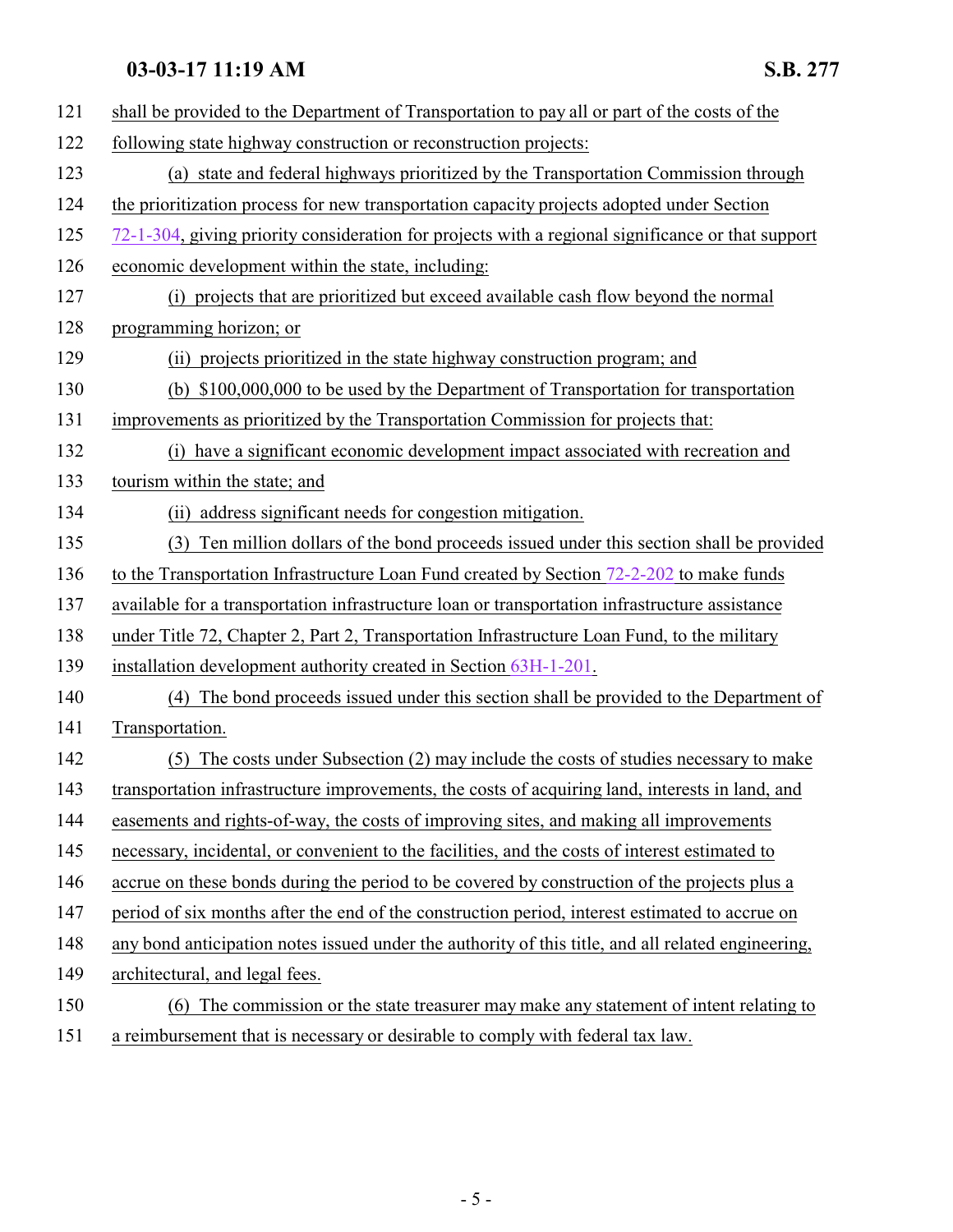| 121 | shall be provided to the Department of Transportation to pay all or part of the costs of the       |
|-----|----------------------------------------------------------------------------------------------------|
| 122 | following state highway construction or reconstruction projects:                                   |
| 123 | (a) state and federal highways prioritized by the Transportation Commission through                |
| 124 | the prioritization process for new transportation capacity projects adopted under Section          |
| 125 | 72-1-304, giving priority consideration for projects with a regional significance or that support  |
| 126 | economic development within the state, including:                                                  |
| 127 | (i) projects that are prioritized but exceed available cash flow beyond the normal                 |
| 128 | programming horizon; or                                                                            |
| 129 | (ii) projects prioritized in the state highway construction program; and                           |
| 130 | (b) \$100,000,000 to be used by the Department of Transportation for transportation                |
| 131 | improvements as prioritized by the Transportation Commission for projects that:                    |
| 132 | (i) have a significant economic development impact associated with recreation and                  |
| 133 | tourism within the state; and                                                                      |
| 134 | (ii) address significant needs for congestion mitigation.                                          |
| 135 | Ten million dollars of the bond proceeds issued under this section shall be provided<br>(3)        |
| 136 | to the Transportation Infrastructure Loan Fund created by Section $72-2-202$ to make funds         |
| 137 | available for a transportation infrastructure loan or transportation infrastructure assistance     |
| 138 | under Title 72, Chapter 2, Part 2, Transportation Infrastructure Loan Fund, to the military        |
| 139 | installation development authority created in Section 63H-1-201.                                   |
| 140 | The bond proceeds issued under this section shall be provided to the Department of<br>(4)          |
| 141 | Transportation.                                                                                    |
| 142 | The costs under Subsection (2) may include the costs of studies necessary to make<br>(5)           |
| 143 | transportation infrastructure improvements, the costs of acquiring land, interests in land, and    |
| 144 | easements and rights-of-way, the costs of improving sites, and making all improvements             |
| 145 | necessary, incidental, or convenient to the facilities, and the costs of interest estimated to     |
| 146 | accrue on these bonds during the period to be covered by construction of the projects plus a       |
| 147 | period of six months after the end of the construction period, interest estimated to accrue on     |
| 148 | any bond anticipation notes issued under the authority of this title, and all related engineering, |
| 149 | architectural, and legal fees.                                                                     |
| 150 | (6) The commission or the state treasurer may make any statement of intent relating to             |
| 151 | a reimbursement that is necessary or desirable to comply with federal tax law.                     |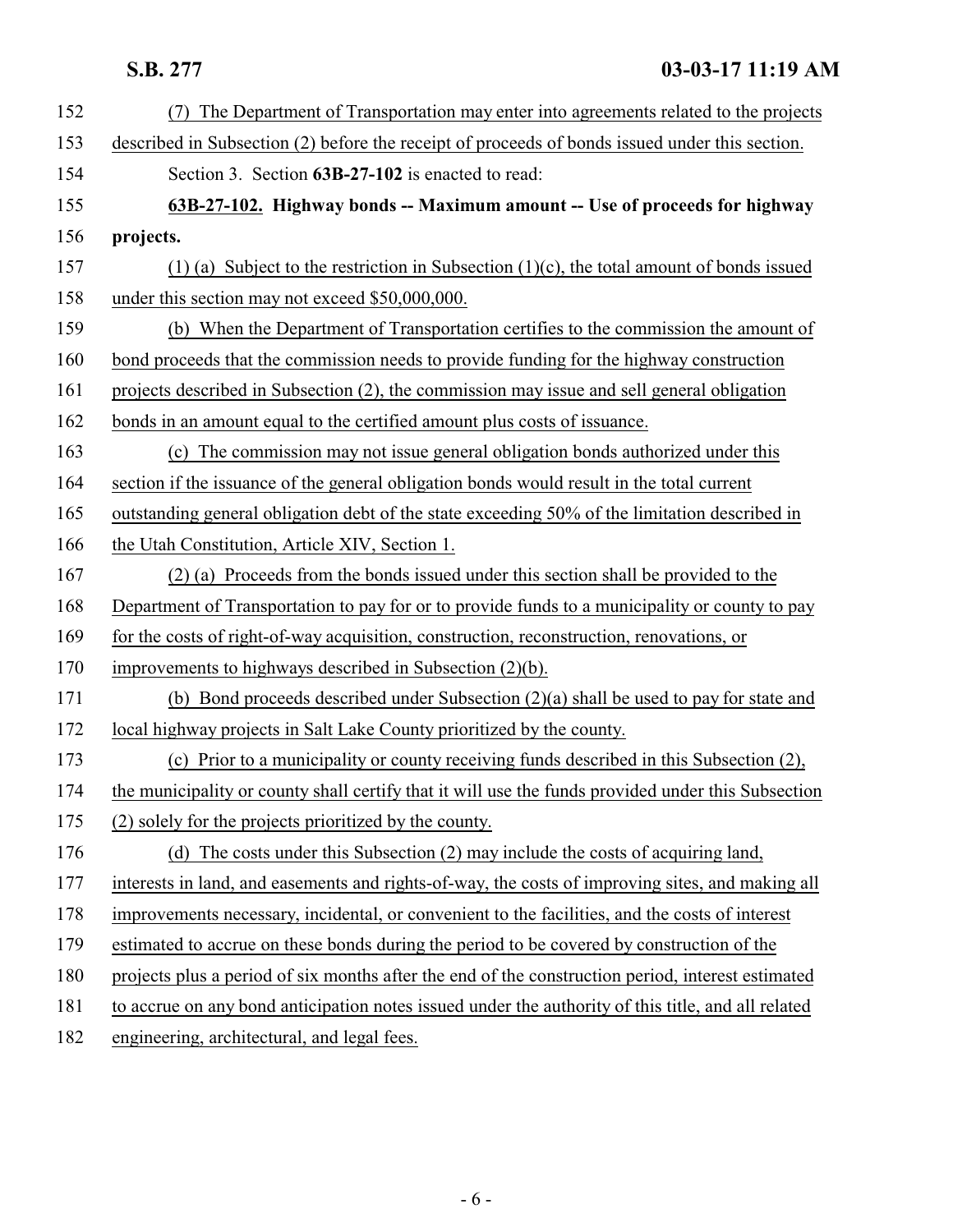<span id="page-5-0"></span>

| 152 | The Department of Transportation may enter into agreements related to the projects                 |
|-----|----------------------------------------------------------------------------------------------------|
| 153 | described in Subsection (2) before the receipt of proceeds of bonds issued under this section.     |
| 154 | Section 3. Section 63B-27-102 is enacted to read:                                                  |
| 155 | 63B-27-102. Highway bonds -- Maximum amount -- Use of proceeds for highway                         |
| 156 | projects.                                                                                          |
| 157 | (1) (a) Subject to the restriction in Subsection $(1)(c)$ , the total amount of bonds issued       |
| 158 | under this section may not exceed \$50,000,000.                                                    |
| 159 | (b) When the Department of Transportation certifies to the commission the amount of                |
| 160 | bond proceeds that the commission needs to provide funding for the highway construction            |
| 161 | projects described in Subsection (2), the commission may issue and sell general obligation         |
| 162 | bonds in an amount equal to the certified amount plus costs of issuance.                           |
| 163 | (c) The commission may not issue general obligation bonds authorized under this                    |
| 164 | section if the issuance of the general obligation bonds would result in the total current          |
| 165 | outstanding general obligation debt of the state exceeding 50% of the limitation described in      |
| 166 | the Utah Constitution, Article XIV, Section 1.                                                     |
| 167 | (2) (a) Proceeds from the bonds issued under this section shall be provided to the                 |
| 168 | Department of Transportation to pay for or to provide funds to a municipality or county to pay     |
| 169 | for the costs of right-of-way acquisition, construction, reconstruction, renovations, or           |
| 170 | improvements to highways described in Subsection $(2)(b)$ .                                        |
| 171 | (b) Bond proceeds described under Subsection (2)(a) shall be used to pay for state and             |
| 172 | local highway projects in Salt Lake County prioritized by the county.                              |
| 173 | (c) Prior to a municipality or county receiving funds described in this Subsection (2),            |
| 174 | the municipality or county shall certify that it will use the funds provided under this Subsection |
| 175 | (2) solely for the projects prioritized by the county.                                             |
| 176 | (d) The costs under this Subsection (2) may include the costs of acquiring land,                   |
| 177 | interests in land, and easements and rights-of-way, the costs of improving sites, and making all   |
| 178 | improvements necessary, incidental, or convenient to the facilities, and the costs of interest     |
| 179 | estimated to accrue on these bonds during the period to be covered by construction of the          |
| 180 | projects plus a period of six months after the end of the construction period, interest estimated  |
| 181 | to accrue on any bond anticipation notes issued under the authority of this title, and all related |
| 182 | engineering, architectural, and legal fees.                                                        |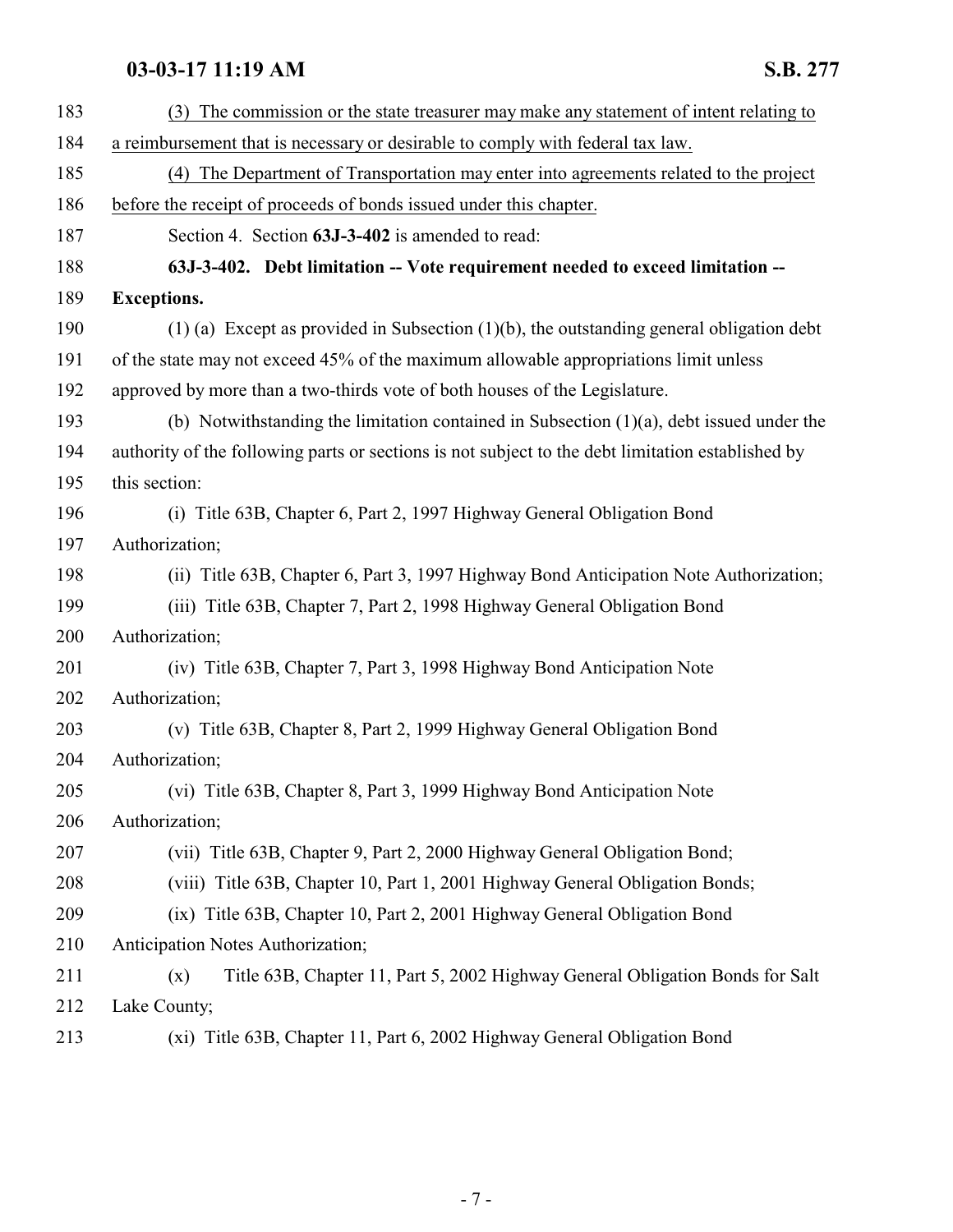<span id="page-6-0"></span>

| 183 | (3) The commission or the state treasurer may make any statement of intent relating to            |
|-----|---------------------------------------------------------------------------------------------------|
| 184 | a reimbursement that is necessary or desirable to comply with federal tax law.                    |
| 185 | (4) The Department of Transportation may enter into agreements related to the project             |
| 186 | before the receipt of proceeds of bonds issued under this chapter.                                |
| 187 | Section 4. Section 63J-3-402 is amended to read:                                                  |
| 188 | 63J-3-402. Debt limitation -- Vote requirement needed to exceed limitation --                     |
| 189 | <b>Exceptions.</b>                                                                                |
| 190 | $(1)$ (a) Except as provided in Subsection $(1)(b)$ , the outstanding general obligation debt     |
| 191 | of the state may not exceed 45% of the maximum allowable appropriations limit unless              |
| 192 | approved by more than a two-thirds vote of both houses of the Legislature.                        |
| 193 | (b) Notwithstanding the limitation contained in Subsection $(1)(a)$ , debt issued under the       |
| 194 | authority of the following parts or sections is not subject to the debt limitation established by |
| 195 | this section:                                                                                     |
| 196 | (i) Title 63B, Chapter 6, Part 2, 1997 Highway General Obligation Bond                            |
| 197 | Authorization;                                                                                    |
| 198 | (ii) Title 63B, Chapter 6, Part 3, 1997 Highway Bond Anticipation Note Authorization;             |
| 199 | (iii) Title 63B, Chapter 7, Part 2, 1998 Highway General Obligation Bond                          |
| 200 | Authorization;                                                                                    |
| 201 | (iv) Title 63B, Chapter 7, Part 3, 1998 Highway Bond Anticipation Note                            |
| 202 | Authorization;                                                                                    |
| 203 | (v) Title 63B, Chapter 8, Part 2, 1999 Highway General Obligation Bond                            |
| 204 | Authorization;                                                                                    |
| 205 | (vi) Title 63B, Chapter 8, Part 3, 1999 Highway Bond Anticipation Note                            |
| 206 | Authorization;                                                                                    |
| 207 | (vii) Title 63B, Chapter 9, Part 2, 2000 Highway General Obligation Bond;                         |
| 208 | (viii) Title 63B, Chapter 10, Part 1, 2001 Highway General Obligation Bonds;                      |
| 209 | (ix) Title 63B, Chapter 10, Part 2, 2001 Highway General Obligation Bond                          |
| 210 | Anticipation Notes Authorization;                                                                 |
| 211 | Title 63B, Chapter 11, Part 5, 2002 Highway General Obligation Bonds for Salt<br>(x)              |
| 212 | Lake County;                                                                                      |
| 213 | (xi) Title 63B, Chapter 11, Part 6, 2002 Highway General Obligation Bond                          |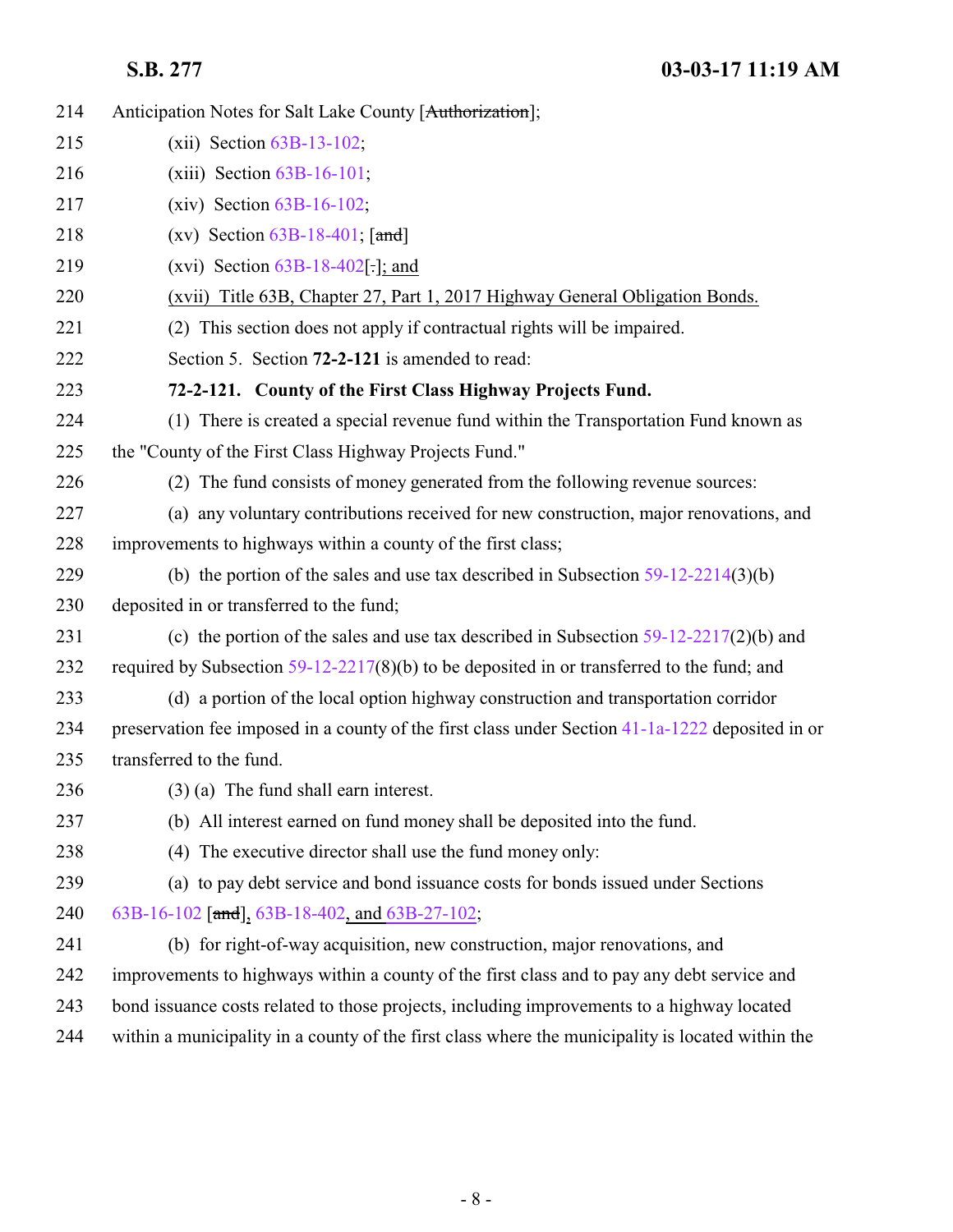<span id="page-7-0"></span>

| 214 | Anticipation Notes for Salt Lake County [Authorization];                                          |
|-----|---------------------------------------------------------------------------------------------------|
| 215 | $(xii)$ Section $63B-13-102$ ;                                                                    |
| 216 | $(xiii)$ Section $63B-16-101$ ;                                                                   |
| 217 | $(xiv)$ Section $63B-16-102$ ;                                                                    |
| 218 | (xv) Section $63B-18-401$ ; [and]                                                                 |
| 219 | (xvi) Section $63B-18-402$ [:]; and                                                               |
| 220 | (xvii) Title 63B, Chapter 27, Part 1, 2017 Highway General Obligation Bonds.                      |
| 221 | (2) This section does not apply if contractual rights will be impaired.                           |
| 222 | Section 5. Section 72-2-121 is amended to read:                                                   |
| 223 | 72-2-121. County of the First Class Highway Projects Fund.                                        |
| 224 | (1) There is created a special revenue fund within the Transportation Fund known as               |
| 225 | the "County of the First Class Highway Projects Fund."                                            |
| 226 | (2) The fund consists of money generated from the following revenue sources:                      |
| 227 | (a) any voluntary contributions received for new construction, major renovations, and             |
| 228 | improvements to highways within a county of the first class;                                      |
| 229 | (b) the portion of the sales and use tax described in Subsection $59-12-2214(3)(b)$               |
| 230 | deposited in or transferred to the fund;                                                          |
| 231 | (c) the portion of the sales and use tax described in Subsection $59-12-2217(2)(b)$ and           |
| 232 | required by Subsection $59-12-2217(8)(b)$ to be deposited in or transferred to the fund; and      |
| 233 | (d) a portion of the local option highway construction and transportation corridor                |
| 234 | preservation fee imposed in a county of the first class under Section 41-1a-1222 deposited in or  |
| 235 | transferred to the fund.                                                                          |
| 236 | $(3)$ (a) The fund shall earn interest.                                                           |
| 237 | (b) All interest earned on fund money shall be deposited into the fund.                           |
| 238 | (4) The executive director shall use the fund money only:                                         |
| 239 | (a) to pay debt service and bond issuance costs for bonds issued under Sections                   |
| 240 | 63B-16-102 [and], 63B-18-402, and 63B-27-102;                                                     |
| 241 | (b) for right-of-way acquisition, new construction, major renovations, and                        |
| 242 | improvements to highways within a county of the first class and to pay any debt service and       |
| 243 | bond issuance costs related to those projects, including improvements to a highway located        |
| 244 | within a municipality in a county of the first class where the municipality is located within the |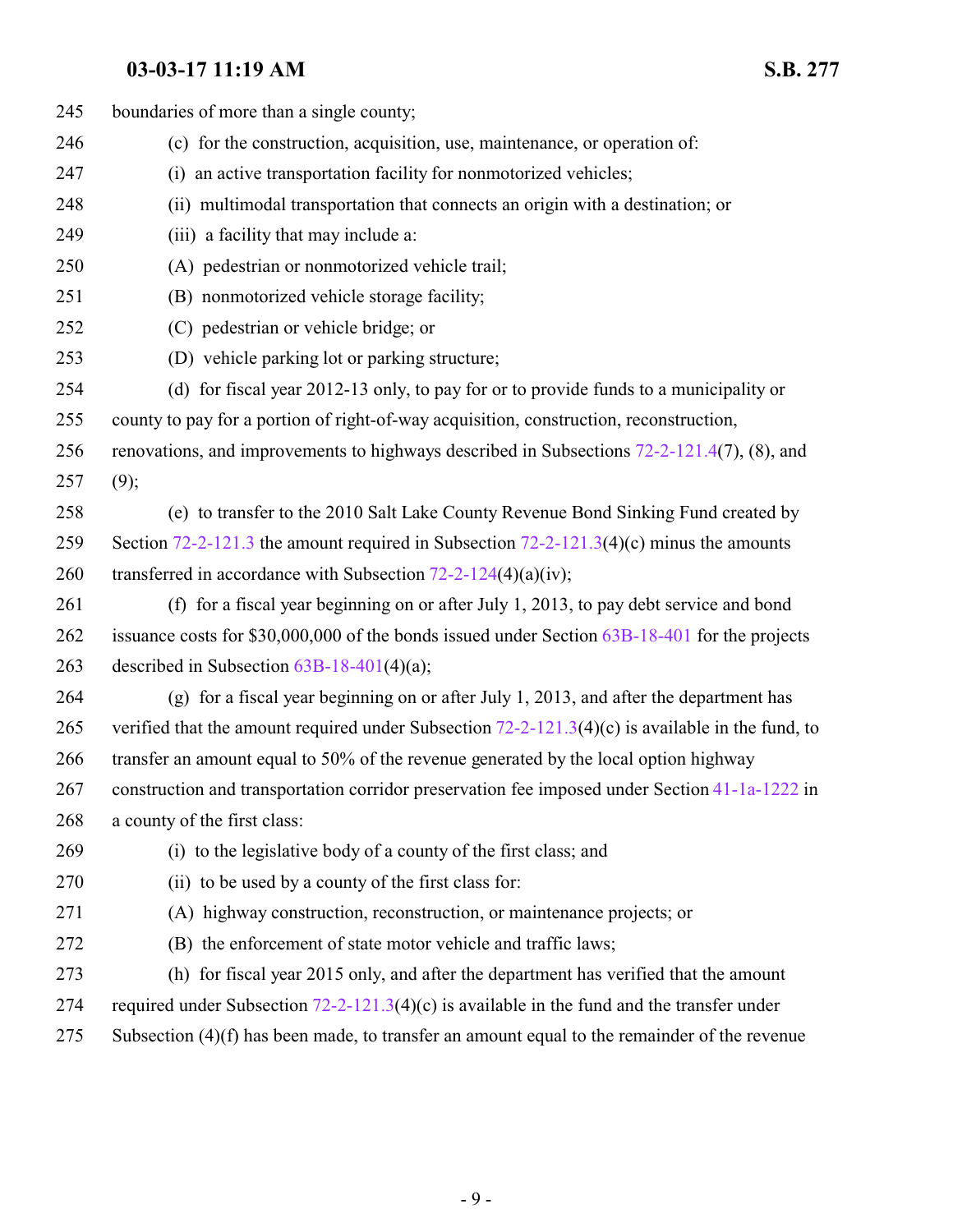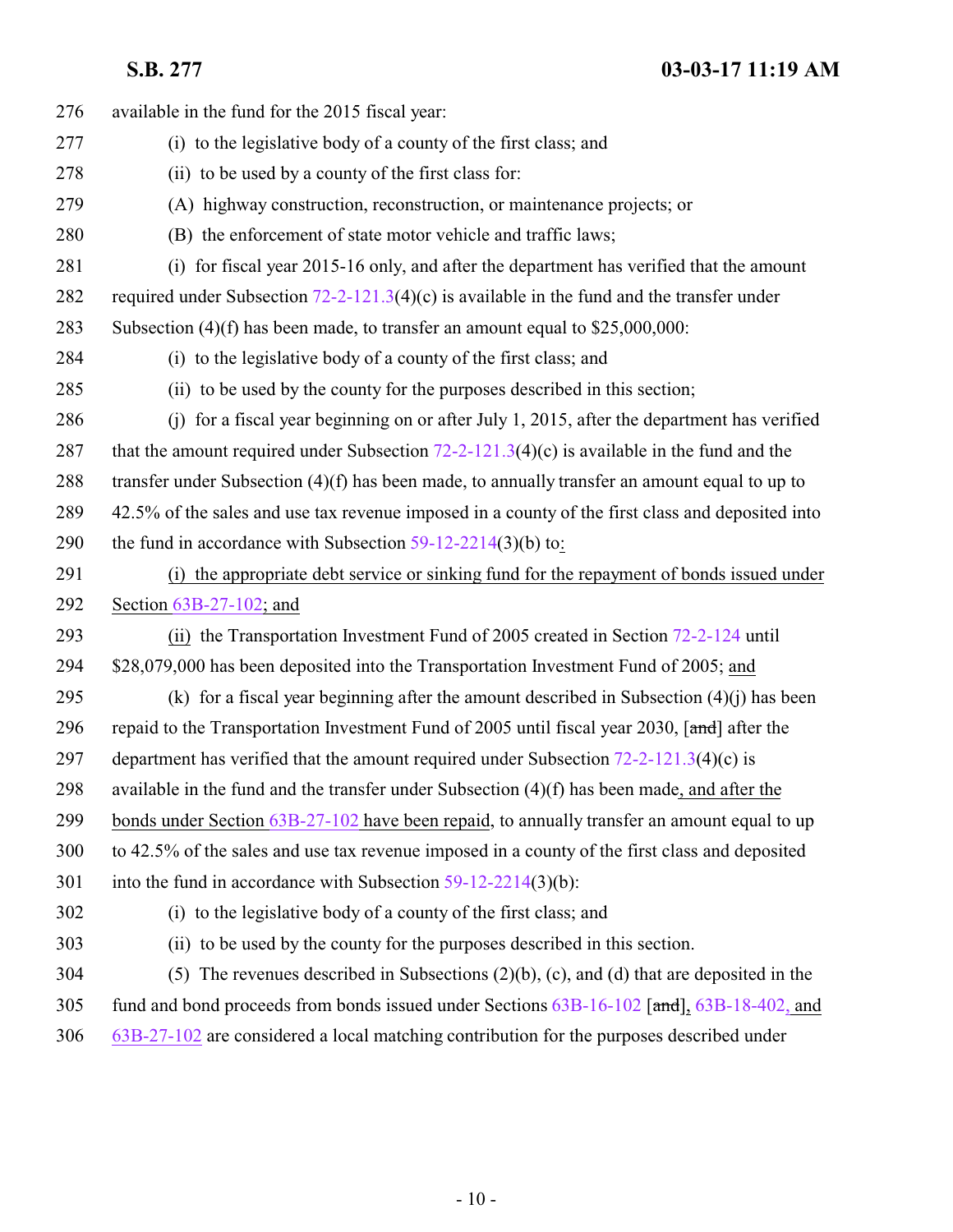| 276 | available in the fund for the 2015 fiscal year:                                                  |
|-----|--------------------------------------------------------------------------------------------------|
| 277 | (i) to the legislative body of a county of the first class; and                                  |
| 278 | (ii) to be used by a county of the first class for:                                              |
| 279 | (A) highway construction, reconstruction, or maintenance projects; or                            |
| 280 | (B) the enforcement of state motor vehicle and traffic laws;                                     |
| 281 | (i) for fiscal year 2015-16 only, and after the department has verified that the amount          |
| 282 | required under Subsection $72-2-121.3(4)(c)$ is available in the fund and the transfer under     |
| 283 | Subsection $(4)(f)$ has been made, to transfer an amount equal to \$25,000,000:                  |
| 284 | (i) to the legislative body of a county of the first class; and                                  |
| 285 | (ii) to be used by the county for the purposes described in this section;                        |
| 286 | (j) for a fiscal year beginning on or after July 1, 2015, after the department has verified      |
| 287 | that the amount required under Subsection $72-2-121.3(4)(c)$ is available in the fund and the    |
| 288 | transfer under Subsection $(4)(f)$ has been made, to annually transfer an amount equal to up to  |
| 289 | 42.5% of the sales and use tax revenue imposed in a county of the first class and deposited into |
| 290 | the fund in accordance with Subsection $59-12-2214(3)(b)$ to:                                    |
| 291 | (i) the appropriate debt service or sinking fund for the repayment of bonds issued under         |
| 292 | Section 63B-27-102; and                                                                          |
| 293 | (ii) the Transportation Investment Fund of 2005 created in Section 72-2-124 until                |
| 294 | \$28,079,000 has been deposited into the Transportation Investment Fund of 2005; and             |
| 295 | (k) for a fiscal year beginning after the amount described in Subsection $(4)(i)$ has been       |
| 296 | repaid to the Transportation Investment Fund of 2005 until fiscal year 2030, [and] after the     |
| 297 | department has verified that the amount required under Subsection $72-2-121.3(4)(c)$ is          |
| 298 | available in the fund and the transfer under Subsection $(4)(f)$ has been made, and after the    |
| 299 | bonds under Section 63B-27-102 have been repaid, to annually transfer an amount equal to up      |
| 300 | to 42.5% of the sales and use tax revenue imposed in a county of the first class and deposited   |
| 301 | into the fund in accordance with Subsection $59-12-2214(3)(b)$ :                                 |
| 302 | (i) to the legislative body of a county of the first class; and                                  |
| 303 | (ii) to be used by the county for the purposes described in this section.                        |
| 304 | (5) The revenues described in Subsections $(2)(b)$ , $(c)$ , and $(d)$ that are deposited in the |
| 305 | fund and bond proceeds from bonds issued under Sections 63B-16-102 [and], 63B-18-402, and        |
| 306 | $63B-27-102$ are considered a local matching contribution for the purposes described under       |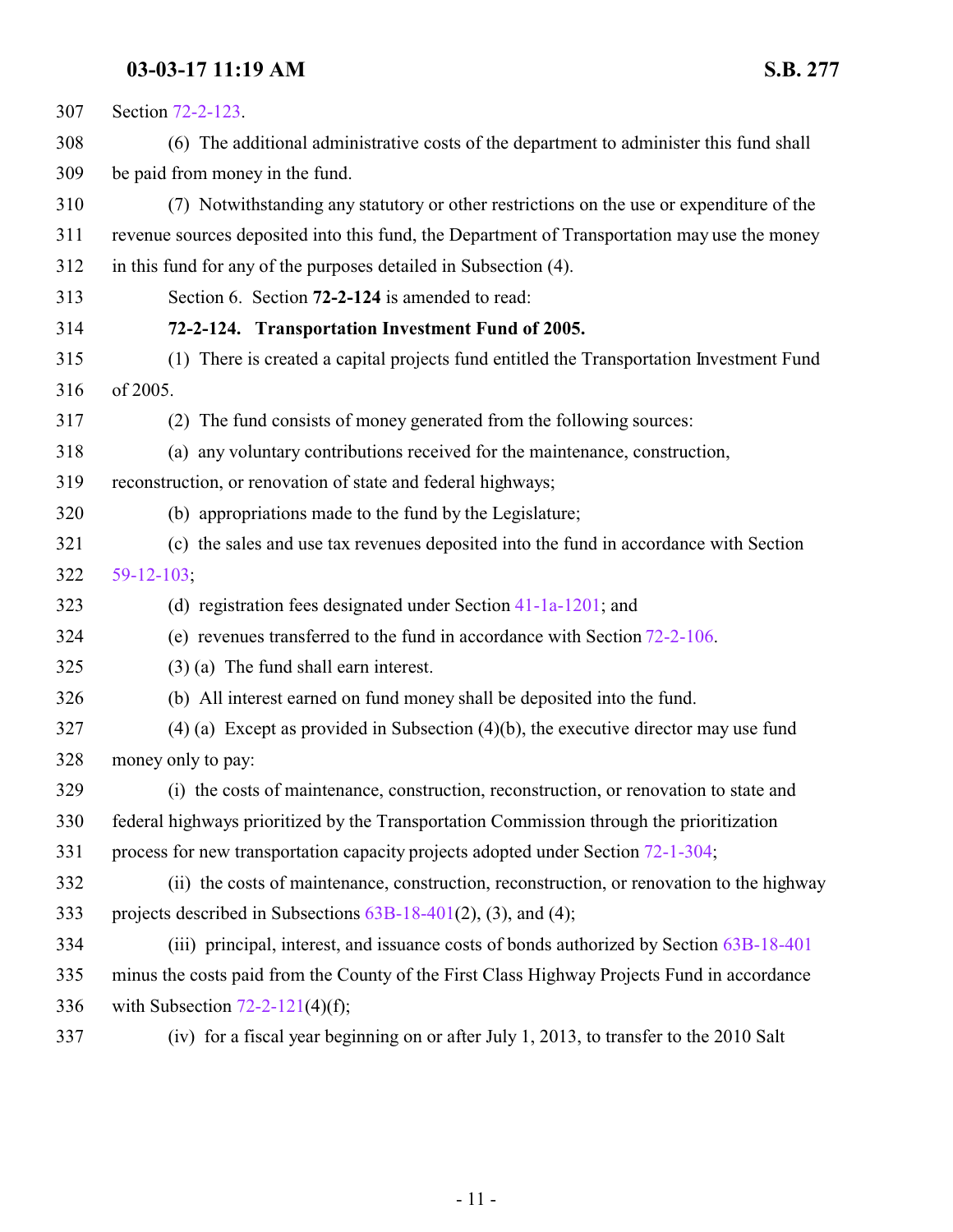<span id="page-10-0"></span>

| 307 | Section 72-2-123.                                                                            |
|-----|----------------------------------------------------------------------------------------------|
| 308 | (6) The additional administrative costs of the department to administer this fund shall      |
| 309 | be paid from money in the fund.                                                              |
| 310 | (7) Notwithstanding any statutory or other restrictions on the use or expenditure of the     |
| 311 | revenue sources deposited into this fund, the Department of Transportation may use the money |
| 312 | in this fund for any of the purposes detailed in Subsection (4).                             |
| 313 | Section 6. Section 72-2-124 is amended to read:                                              |
| 314 | 72-2-124. Transportation Investment Fund of 2005.                                            |
| 315 | (1) There is created a capital projects fund entitled the Transportation Investment Fund     |
| 316 | of 2005.                                                                                     |
| 317 | (2) The fund consists of money generated from the following sources:                         |
| 318 | (a) any voluntary contributions received for the maintenance, construction,                  |
| 319 | reconstruction, or renovation of state and federal highways;                                 |
| 320 | (b) appropriations made to the fund by the Legislature;                                      |
| 321 | (c) the sales and use tax revenues deposited into the fund in accordance with Section        |
| 322 | $59-12-103$ ;                                                                                |
| 323 | (d) registration fees designated under Section $41-1a-1201$ ; and                            |
| 324 | (e) revenues transferred to the fund in accordance with Section $72-2-106$ .                 |
| 325 | $(3)$ (a) The fund shall earn interest.                                                      |
| 326 | (b) All interest earned on fund money shall be deposited into the fund.                      |
| 327 | $(4)$ (a) Except as provided in Subsection $(4)(b)$ , the executive director may use fund    |
| 328 | money only to pay:                                                                           |
| 329 | (i) the costs of maintenance, construction, reconstruction, or renovation to state and       |
| 330 | federal highways prioritized by the Transportation Commission through the prioritization     |
| 331 | process for new transportation capacity projects adopted under Section 72-1-304;             |
| 332 | (ii) the costs of maintenance, construction, reconstruction, or renovation to the highway    |
| 333 | projects described in Subsections $63B-18-401(2)$ , (3), and (4);                            |
| 334 | (iii) principal, interest, and issuance costs of bonds authorized by Section 63B-18-401      |
| 335 | minus the costs paid from the County of the First Class Highway Projects Fund in accordance  |
| 336 | with Subsection $72-2-121(4)(f)$ ;                                                           |
| 337 | (iv) for a fiscal year beginning on or after July 1, 2013, to transfer to the 2010 Salt      |